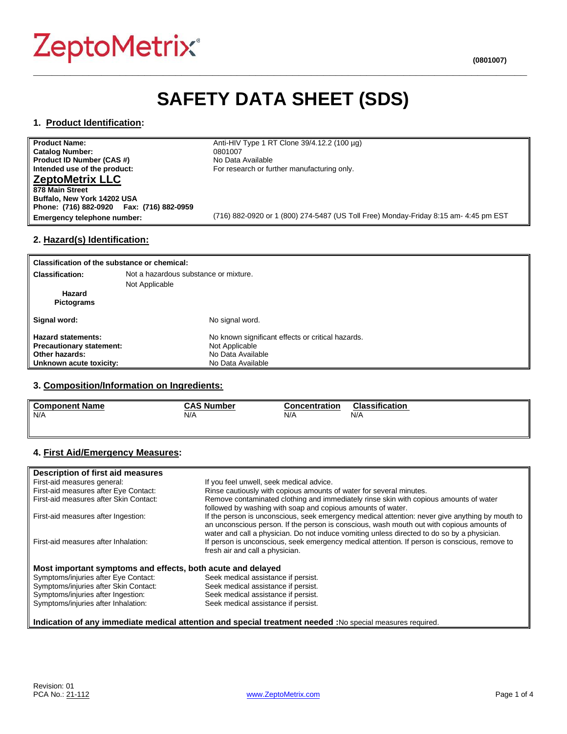# **ZeptoMetrix®**

# **SAFETY DATA SHEET (SDS)**

**\_\_\_\_\_\_\_\_\_\_\_\_\_\_\_\_\_\_\_\_\_\_\_\_\_\_\_\_\_\_\_\_\_\_\_\_\_\_\_\_\_\_\_\_\_\_\_\_\_\_\_\_\_\_\_\_\_\_\_\_\_\_\_\_\_\_\_\_\_\_\_\_\_\_\_\_\_\_\_\_**

# **1. Product Identification:**

**Product Name:** Anti-HIV Type 1 RT Clone 39/4.12.2 (100 µg)<br>Catalog Number: 0801007 **Catalog Number:** 0801007 (1894)<br> **Product ID Number (CAS #)** (2008) No Data Available **Product ID Number (CAS #)**<br>Intended use of the product: **ZeptoMetrix LLC 878 Main Street Buffalo, New York 14202 USA Phone: (716) 882-0920 Fax: (716) 882-0959**

For research or further manufacturing only.

**Emergency telephone number:** (716) 882-0920 or 1 (800) 274-5487 (US Toll Free) Monday-Friday 8:15 am- 4:45 pm EST

# **2. Hazard(s) Identification:**

| Classification of the substance or chemical: |                                                   |
|----------------------------------------------|---------------------------------------------------|
| <b>Classification:</b>                       | Not a hazardous substance or mixture.             |
|                                              | Not Applicable                                    |
| Hazard                                       |                                                   |
| <b>Pictograms</b>                            |                                                   |
| Signal word:                                 | No signal word.                                   |
| <b>Hazard statements:</b>                    | No known significant effects or critical hazards. |
| <b>Precautionary statement:</b>              | Not Applicable                                    |
| Other hazards:                               | No Data Available                                 |
| Unknown acute toxicity:                      | No Data Available                                 |

# **3. Composition/Information on Ingredients:**

| <b>Component Name</b> | <b>CAS Number</b>                      | Concentration | <b>Classification</b> |
|-----------------------|----------------------------------------|---------------|-----------------------|
| N/A                   | N/A<br>the contract of the contract of | N/A           | N/A                   |
|                       |                                        |               |                       |

# **4. First Aid/Emergency Measures:**

| Description of first aid measures                           |                                                                                                                                                                                                                                                                                             |
|-------------------------------------------------------------|---------------------------------------------------------------------------------------------------------------------------------------------------------------------------------------------------------------------------------------------------------------------------------------------|
| First-aid measures general:                                 | If you feel unwell, seek medical advice.                                                                                                                                                                                                                                                    |
| First-aid measures after Eye Contact:                       | Rinse cautiously with copious amounts of water for several minutes.                                                                                                                                                                                                                         |
| First-aid measures after Skin Contact:                      | Remove contaminated clothing and immediately rinse skin with copious amounts of water<br>followed by washing with soap and copious amounts of water.                                                                                                                                        |
| First-aid measures after Ingestion:                         | If the person is unconscious, seek emergency medical attention: never give anything by mouth to<br>an unconscious person. If the person is conscious, wash mouth out with copious amounts of<br>water and call a physician. Do not induce vomiting unless directed to do so by a physician. |
| First-aid measures after Inhalation:                        | If person is unconscious, seek emergency medical attention. If person is conscious, remove to<br>fresh air and call a physician.                                                                                                                                                            |
| Most important symptoms and effects, both acute and delayed |                                                                                                                                                                                                                                                                                             |
| Symptoms/injuries after Eye Contact:                        | Seek medical assistance if persist.                                                                                                                                                                                                                                                         |
| Symptoms/injuries after Skin Contact:                       | Seek medical assistance if persist.                                                                                                                                                                                                                                                         |
| Symptoms/injuries after Ingestion:                          | Seek medical assistance if persist.                                                                                                                                                                                                                                                         |
| Symptoms/injuries after Inhalation:                         | Seek medical assistance if persist.                                                                                                                                                                                                                                                         |

#### **Indication of any immediate medical attention and special treatment needed :**No special measures required.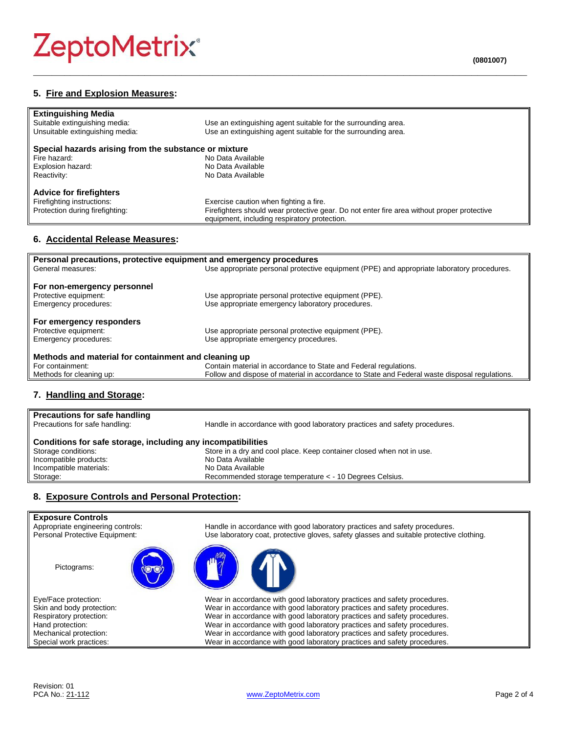# **ZeptoMetrix®**

| <b>Extinguishing Media</b>                            |                                                                                            |  |
|-------------------------------------------------------|--------------------------------------------------------------------------------------------|--|
| Suitable extinguishing media:                         | Use an extinguishing agent suitable for the surrounding area.                              |  |
| Unsuitable extinguishing media:                       | Use an extinguishing agent suitable for the surrounding area.                              |  |
| Special hazards arising from the substance or mixture |                                                                                            |  |
| Fire hazard:                                          | No Data Available                                                                          |  |
| Explosion hazard:                                     | No Data Available                                                                          |  |
| Reactivity:                                           | No Data Available                                                                          |  |
| <b>Advice for firefighters</b>                        |                                                                                            |  |
| Firefighting instructions:                            | Exercise caution when fighting a fire.                                                     |  |
| Protection during firefighting:                       | Firefighters should wear protective gear. Do not enter fire area without proper protective |  |
|                                                       | equipment, including respiratory protection.                                               |  |

**\_\_\_\_\_\_\_\_\_\_\_\_\_\_\_\_\_\_\_\_\_\_\_\_\_\_\_\_\_\_\_\_\_\_\_\_\_\_\_\_\_\_\_\_\_\_\_\_\_\_\_\_\_\_\_\_\_\_\_\_\_\_\_\_\_\_\_\_\_\_\_\_\_\_\_\_\_\_\_\_**

# **6. Accidental Release Measures:**

| Personal precautions, protective equipment and emergency procedures |                                                                                               |  |
|---------------------------------------------------------------------|-----------------------------------------------------------------------------------------------|--|
| General measures:                                                   | Use appropriate personal protective equipment (PPE) and appropriate laboratory procedures.    |  |
|                                                                     |                                                                                               |  |
| For non-emergency personnel                                         |                                                                                               |  |
| Protective equipment:                                               | Use appropriate personal protective equipment (PPE).                                          |  |
| Emergency procedures:                                               | Use appropriate emergency laboratory procedures.                                              |  |
| For emergency responders                                            |                                                                                               |  |
| Protective equipment:                                               | Use appropriate personal protective equipment (PPE).                                          |  |
| Emergency procedures:                                               | Use appropriate emergency procedures.                                                         |  |
| Methods and material for containment and cleaning up                |                                                                                               |  |
| For containment:                                                    | Contain material in accordance to State and Federal regulations.                              |  |
| Methods for cleaning up:                                            | Follow and dispose of material in accordance to State and Federal waste disposal regulations. |  |

# **7. Handling and Storage:**

| <b>Precautions for safe handling</b><br>Precautions for safe handling: | Handle in accordance with good laboratory practices and safety procedures. |  |
|------------------------------------------------------------------------|----------------------------------------------------------------------------|--|
| Conditions for safe storage, including any incompatibilities           |                                                                            |  |
| Storage conditions:                                                    | Store in a dry and cool place. Keep container closed when not in use.      |  |
| Incompatible products:                                                 | No Data Available                                                          |  |
| Incompatible materials:                                                | No Data Available                                                          |  |
| Storage:                                                               | Recommended storage temperature < - 10 Degrees Celsius.                    |  |
|                                                                        |                                                                            |  |

# **8. Exposure Controls and Personal Protection:**

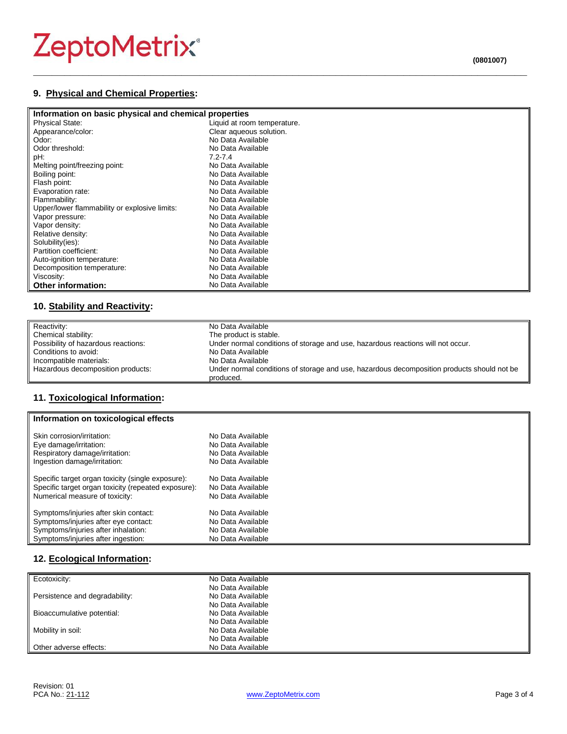# ZeptoMetrix®

# **9. Physical and Chemical Properties:**

| Information on basic physical and chemical properties |                             |  |
|-------------------------------------------------------|-----------------------------|--|
| <b>Physical State:</b>                                | Liquid at room temperature. |  |
| Appearance/color:                                     | Clear aqueous solution.     |  |
| Odor:                                                 | No Data Available           |  |
| Odor threshold:                                       | No Data Available           |  |
| pH:                                                   | $7.2 - 7.4$                 |  |
| Melting point/freezing point:                         | No Data Available           |  |
| Boiling point:                                        | No Data Available           |  |
| Flash point:                                          | No Data Available           |  |
| Evaporation rate:                                     | No Data Available           |  |
| Flammability:                                         | No Data Available           |  |
| Upper/lower flammability or explosive limits:         | No Data Available           |  |
| Vapor pressure:                                       | No Data Available           |  |
| Vapor density:                                        | No Data Available           |  |
| Relative density:                                     | No Data Available           |  |
| Solubility(ies):                                      | No Data Available           |  |
| Partition coefficient:                                | No Data Available           |  |
| Auto-ignition temperature:                            | No Data Available           |  |
| Decomposition temperature:                            | No Data Available           |  |
| Viscosity:                                            | No Data Available           |  |
| <b>Other information:</b>                             | No Data Available           |  |

**\_\_\_\_\_\_\_\_\_\_\_\_\_\_\_\_\_\_\_\_\_\_\_\_\_\_\_\_\_\_\_\_\_\_\_\_\_\_\_\_\_\_\_\_\_\_\_\_\_\_\_\_\_\_\_\_\_\_\_\_\_\_\_\_\_\_\_\_\_\_\_\_\_\_\_\_\_\_\_\_**

# **10. Stability and Reactivity:**

| Reactivity:                         | No Data Available                                                                                       |
|-------------------------------------|---------------------------------------------------------------------------------------------------------|
| Chemical stability:                 | The product is stable.                                                                                  |
| Possibility of hazardous reactions: | Under normal conditions of storage and use, hazardous reactions will not occur.                         |
| Conditions to avoid:                | No Data Available                                                                                       |
| Incompatible materials:             | No Data Available                                                                                       |
| Hazardous decomposition products:   | Under normal conditions of storage and use, hazardous decomposition products should not be<br>produced. |

# **11. Toxicological Information:**

| Information on toxicological effects                |                   |  |
|-----------------------------------------------------|-------------------|--|
| Skin corrosion/irritation:                          | No Data Available |  |
| Eye damage/irritation:                              | No Data Available |  |
| Respiratory damage/irritation:                      | No Data Available |  |
| Ingestion damage/irritation:                        | No Data Available |  |
| Specific target organ toxicity (single exposure):   | No Data Available |  |
| Specific target organ toxicity (repeated exposure): | No Data Available |  |
| Numerical measure of toxicity:                      | No Data Available |  |
| Symptoms/injuries after skin contact:               | No Data Available |  |
| Symptoms/injuries after eye contact:                | No Data Available |  |
| Symptoms/injuries after inhalation:                 | No Data Available |  |
| Symptoms/injuries after ingestion:                  | No Data Available |  |

# **12. Ecological Information:**

| Ecotoxicity:                   | No Data Available |
|--------------------------------|-------------------|
|                                | No Data Available |
| Persistence and degradability: | No Data Available |
|                                | No Data Available |
| Bioaccumulative potential:     | No Data Available |
|                                | No Data Available |
| Mobility in soil:              | No Data Available |
|                                | No Data Available |
| Other adverse effects:         | No Data Available |